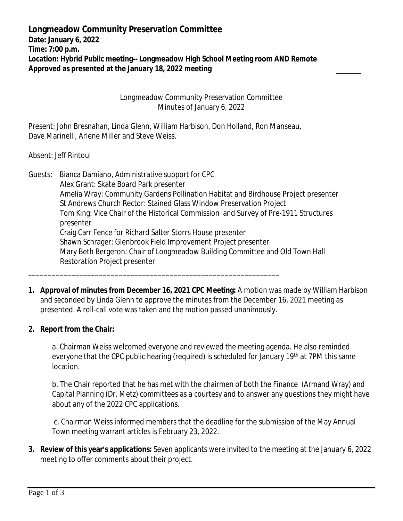**Longmeadow Community Preservation Committee Date: January 6, 2022 Time: 7:00 p.m. Location: Hybrid Public meeting-- Longmeadow High School Meeting room AND Remote Approved as presented at the January 18, 2022 meeting** 

> Longmeadow Community Preservation Committee Minutes of January 6, 2022

Present: John Bresnahan, Linda Glenn, William Harbison, Don Holland, Ron Manseau, Dave Marinelli, Arlene Miller and Steve Weiss.

**\_\_\_\_\_\_\_\_\_\_\_\_\_\_\_\_\_\_\_\_\_\_\_\_\_\_\_\_\_\_\_\_\_\_\_\_\_\_\_\_\_\_\_\_\_\_\_\_\_\_\_\_\_\_\_\_\_\_\_\_\_\_\_\_**

Absent: Jeff Rintoul

Guests: Bianca Damiano, Administrative support for CPC Alex Grant: Skate Board Park presenter Amelia Wray: Community Gardens Pollination Habitat and Birdhouse Project presenter St Andrews Church Rector: Stained Glass Window Preservation Project Tom King: Vice Chair of the Historical Commission and Survey of Pre-1911 Structures presenter Craig Carr Fence for Richard Salter Storrs House presenter Shawn Schrager: Glenbrook Field Improvement Project presenter Mary Beth Bergeron: Chair of Longmeadow Building Committee and Old Town Hall Restoration Project presenter

**1. Approval of minutes from December 16, 2021 CPC Meeting:** A motion was made by William Harbison and seconded by Linda Glenn to approve the minutes from the December 16, 2021 meeting as presented. A roll-call vote was taken and the motion passed unanimously.

## **2. Report from the Chair:**

a. Chairman Weiss welcomed everyone and reviewed the meeting agenda. He also reminded everyone that the CPC public hearing (required) is scheduled for January 19<sup>th</sup> at 7PM this same location.

b. The Chair reported that he has met with the chairmen of both the Finance (Armand Wray) and Capital Planning (Dr. Metz) committees as a courtesy and to answer any questions they might have about any of the 2022 CPC applications.

 c. Chairman Weiss informed members that the deadline for the submission of the May Annual Town meeting warrant articles is February 23, 2022.

**3. Review of this year's applications:** Seven applicants were invited to the meeting at the January 6, 2022 meeting to offer comments about their project.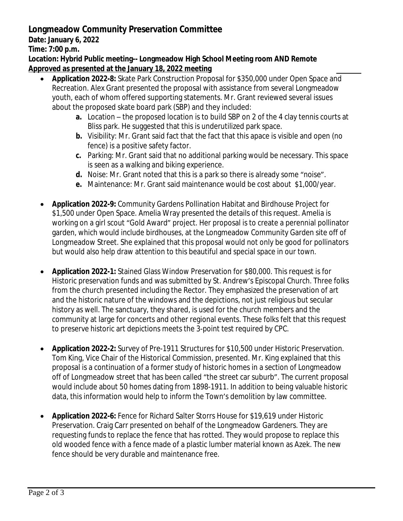## **Longmeadow Community Preservation Committee**

**Date: January 6, 2022**

**Time: 7:00 p.m.**

**Location: Hybrid Public meeting-- Longmeadow High School Meeting room AND Remote Approved as presented at the January 18, 2022 meeting** 

- **Application 2022-8:** Skate Park Construction Proposal for \$350,000 under Open Space and Recreation. Alex Grant presented the proposal with assistance from several Longmeadow youth, each of whom offered supporting statements. Mr. Grant reviewed several issues about the proposed skate board park (SBP) and they included:
	- **a.** Location the proposed location is to build SBP on 2 of the 4 clay tennis courts at Bliss park. He suggested that this is underutilized park space.
	- **b.** Visibility: Mr. Grant said fact that the fact that this apace is visible and open (no fence) is a positive safety factor.
	- **c.** Parking: Mr. Grant said that no additional parking would be necessary. This space is seen as a walking and biking experience.
	- **d.** Noise: Mr. Grant noted that this is a park so there is already some "noise".
	- **e.** Maintenance: Mr. Grant said maintenance would be cost about \$1,000/year.
- **Application 2022-9:** Community Gardens Pollination Habitat and Birdhouse Project for \$1,500 under Open Space. Amelia Wray presented the details of this request. Amelia is working on a girl scout "Gold Award" project. Her proposal is to create a perennial pollinator garden, which would include birdhouses, at the Longmeadow Community Garden site off of Longmeadow Street. She explained that this proposal would not only be good for pollinators but would also help draw attention to this beautiful and special space in our town.
- **Application 2022-1:** Stained Glass Window Preservation for \$80,000. This request is for Historic preservation funds and was submitted by St. Andrew's Episcopal Church. Three folks from the church presented including the Rector. They emphasized the preservation of art and the historic nature of the windows and the depictions, not just religious but secular history as well. The sanctuary, they shared, is used for the church members and the community at large for concerts and other regional events. These folks felt that this request to preserve historic art depictions meets the 3-point test required by CPC.
- **Application 2022-2:** Survey of Pre-1911 Structures for \$10,500 under Historic Preservation. Tom King, Vice Chair of the Historical Commission, presented. Mr. King explained that this proposal is a continuation of a former study of historic homes in a section of Longmeadow off of Longmeadow street that has been called "the street car suburb". The current proposal would include about 50 homes dating from 1898-1911. In addition to being valuable historic data, this information would help to inform the Town's demolition by law committee.
- **Application 2022-6:** Fence for Richard Salter Storrs House for \$19,619 under Historic Preservation. Craig Carr presented on behalf of the Longmeadow Gardeners. They are requesting funds to replace the fence that has rotted. They would propose to replace this old wooded fence with a fence made of a plastic lumber material known as Azek. The new fence should be very durable and maintenance free.